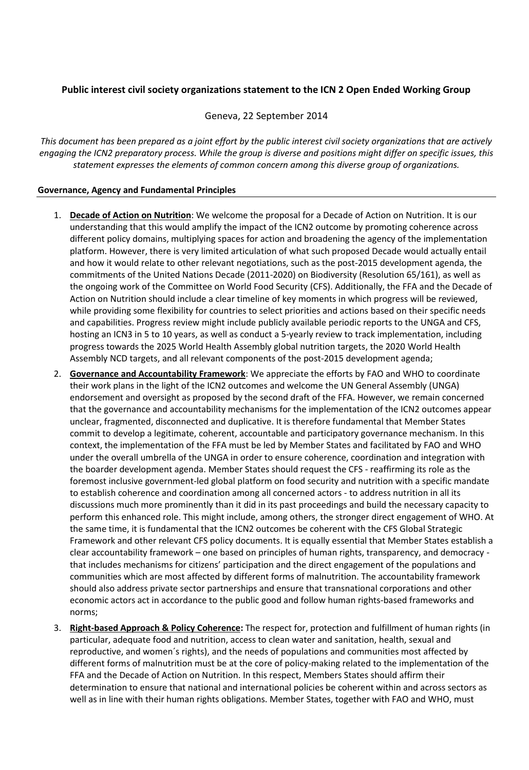## **Public interest civil society organizations statement to the ICN 2 Open Ended Working Group**

Geneva, 22 September 2014

*This document has been prepared as a joint effort by the public interest civil society organizations that are actively engaging the ICN2 preparatory process. While the group is diverse and positions might differ on specific issues, this statement expresses the elements of common concern among this diverse group of organizations.*

## **Governance, Agency and Fundamental Principles**

- 1. **Decade of Action on Nutrition**: We welcome the proposal for a Decade of Action on Nutrition. It is our understanding that this would amplify the impact of the ICN2 outcome by promoting coherence across different policy domains, multiplying spaces for action and broadening the agency of the implementation platform. However, there is very limited articulation of what such proposed Decade would actually entail and how it would relate to other relevant negotiations, such as the post-2015 development agenda, the commitments of the United Nations Decade (2011-2020) on Biodiversity (Resolution 65/161), as well as the ongoing work of the Committee on World Food Security (CFS). Additionally, the FFA and the Decade of Action on Nutrition should include a clear timeline of key moments in which progress will be reviewed, while providing some flexibility for countries to select priorities and actions based on their specific needs and capabilities. Progress review might include publicly available periodic reports to the UNGA and CFS, hosting an ICN3 in 5 to 10 years, as well as conduct a 5-yearly review to track implementation, including progress towards the 2025 World Health Assembly global nutrition targets, the 2020 World Health Assembly NCD targets, and all relevant components of the post-2015 development agenda;
- 2. **Governance and Accountability Framework**: We appreciate the efforts by FAO and WHO to coordinate their work plans in the light of the ICN2 outcomes and welcome the UN General Assembly (UNGA) endorsement and oversight as proposed by the second draft of the FFA. However, we remain concerned that the governance and accountability mechanisms for the implementation of the ICN2 outcomes appear unclear, fragmented, disconnected and duplicative. It is therefore fundamental that Member States commit to develop a legitimate, coherent, accountable and participatory governance mechanism. In this context, the implementation of the FFA must be led by Member States and facilitated by FAO and WHO under the overall umbrella of the UNGA in order to ensure coherence, coordination and integration with the boarder development agenda. Member States should request the CFS - reaffirming its role as the foremost inclusive government-led global platform on food security and nutrition with a specific mandate to establish coherence and coordination among all concerned actors - to address nutrition in all its discussions much more prominently than it did in its past proceedings and build the necessary capacity to perform this enhanced role. This might include, among others, the stronger direct engagement of WHO. At the same time, it is fundamental that the ICN2 outcomes be coherent with the CFS Global Strategic Framework and other relevant CFS policy documents. It is equally essential that Member States establish a clear accountability framework – one based on principles of human rights, transparency, and democracy that includes mechanisms for citizens' participation and the direct engagement of the populations and communities which are most affected by different forms of malnutrition. The accountability framework should also address private sector partnerships and ensure that transnational corporations and other economic actors act in accordance to the public good and follow human rights-based frameworks and norms;
- 3. **Right-based Approach & Policy Coherence:** The respect for, protection and fulfillment of human rights (in particular, adequate food and nutrition, access to clean water and sanitation, health, sexual and reproductive, and women´s rights), and the needs of populations and communities most affected by different forms of malnutrition must be at the core of policy-making related to the implementation of the FFA and the Decade of Action on Nutrition. In this respect, Members States should affirm their determination to ensure that national and international policies be coherent within and across sectors as well as in line with their human rights obligations. Member States, together with FAO and WHO, must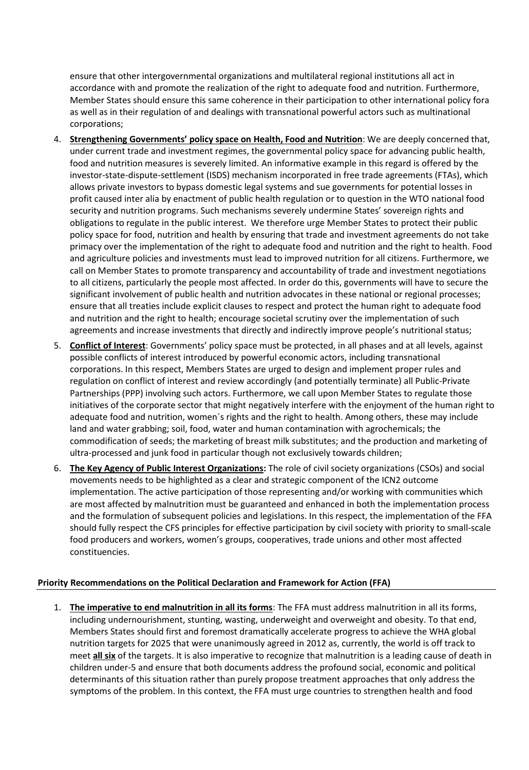ensure that other intergovernmental organizations and multilateral regional institutions all act in accordance with and promote the realization of the right to adequate food and nutrition. Furthermore, Member States should ensure this same coherence in their participation to other international policy fora as well as in their regulation of and dealings with transnational powerful actors such as multinational corporations;

- 4. **Strengthening Governments' policy space on Health, Food and Nutrition**: We are deeply concerned that, under current trade and investment regimes, the governmental policy space for advancing public health, food and nutrition measures is severely limited. An informative example in this regard is offered by the investor-state-dispute-settlement (ISDS) mechanism incorporated in free trade agreements (FTAs), which allows private investors to bypass domestic legal systems and sue governments for potential losses in profit caused inter alia by enactment of public health regulation or to question in the WTO national food security and nutrition programs. Such mechanisms severely undermine States' sovereign rights and obligations to regulate in the public interest. We therefore urge Member States to protect their public policy space for food, nutrition and health by ensuring that trade and investment agreements do not take primacy over the implementation of the right to adequate food and nutrition and the right to health. Food and agriculture policies and investments must lead to improved nutrition for all citizens. Furthermore, we call on Member States to promote transparency and accountability of trade and investment negotiations to all citizens, particularly the people most affected. In order do this, governments will have to secure the significant involvement of public health and nutrition advocates in these national or regional processes; ensure that all treaties include explicit clauses to respect and protect the human right to adequate food and nutrition and the right to health; encourage societal scrutiny over the implementation of such agreements and increase investments that directly and indirectly improve people's nutritional status;
- 5. **Conflict of Interest**: Governments' policy space must be protected, in all phases and at all levels, against possible conflicts of interest introduced by powerful economic actors, including transnational corporations. In this respect, Members States are urged to design and implement proper rules and regulation on conflict of interest and review accordingly (and potentially terminate) all Public-Private Partnerships (PPP) involving such actors. Furthermore, we call upon Member States to regulate those initiatives of the corporate sector that might negatively interfere with the enjoyment of the human right to adequate food and nutrition, women´s rights and the right to health. Among others, these may include land and water grabbing; soil, food, water and human contamination with agrochemicals; the commodification of seeds; the marketing of breast milk substitutes; and the production and marketing of ultra-processed and junk food in particular though not exclusively towards children;
- 6. **The Key Agency of Public Interest Organizations:** The role of civil society organizations (CSOs) and social movements needs to be highlighted as a clear and strategic component of the ICN2 outcome implementation. The active participation of those representing and/or working with communities which are most affected by malnutrition must be guaranteed and enhanced in both the implementation process and the formulation of subsequent policies and legislations. In this respect, the implementation of the FFA should fully respect the CFS principles for effective participation by civil society with priority to small-scale food producers and workers, women's groups, cooperatives, trade unions and other most affected constituencies.

## **Priority Recommendations on the Political Declaration and Framework for Action (FFA)**

1. **The imperative to end malnutrition in all its forms**: The FFA must address malnutrition in all its forms, including undernourishment, stunting, wasting, underweight and overweight and obesity. To that end, Members States should first and foremost dramatically accelerate progress to achieve the WHA global nutrition targets for 2025 that were unanimously agreed in 2012 as, currently, the world is off track to meet **all six** of the targets. It is also imperative to recognize that malnutrition is a leading cause of death in children under-5 and ensure that both documents address the profound social, economic and political determinants of this situation rather than purely propose treatment approaches that only address the symptoms of the problem. In this context, the FFA must urge countries to strengthen health and food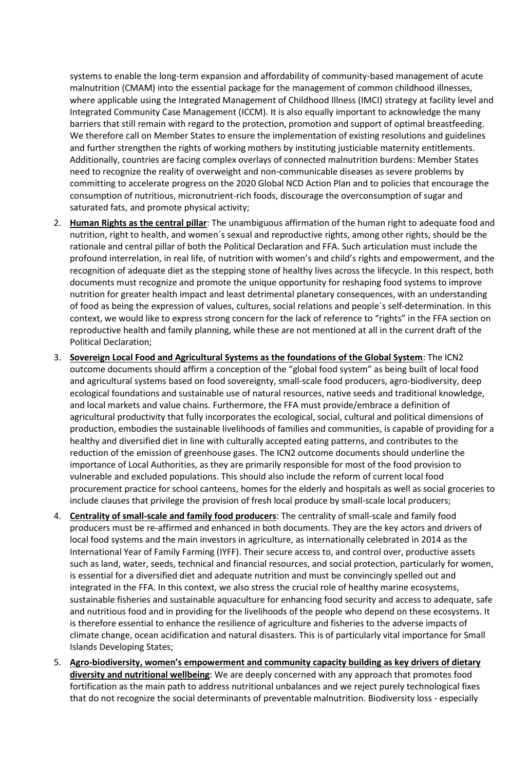systems to enable the long-term expansion and affordability of community-based management of acute malnutrition (CMAM) into the essential package for the management of common childhood illnesses, where applicable using the Integrated Management of Childhood Illness (IMCI) strategy at facility level and Integrated Community Case Management (ICCM). It is also equally important to acknowledge the many barriers that still remain with regard to the protection, promotion and support of optimal breastfeeding. We therefore call on Member States to ensure the implementation of existing resolutions and guidelines and further strengthen the rights of working mothers by instituting justiciable maternity entitlements. Additionally, countries are facing complex overlays of connected malnutrition burdens: Member States need to recognize the reality of overweight and non-communicable diseases as severe problems by committing to accelerate progress on the 2020 Global NCD Action Plan and to policies that encourage the consumption of nutritious, micronutrient-rich foods, discourage the overconsumption of sugar and saturated fats, and promote physical activity;

- 2. **Human Rights as the central pillar**: The unambiguous affirmation of the human right to adequate food and nutrition, right to health, and women´s sexual and reproductive rights, among other rights, should be the rationale and central pillar of both the Political Declaration and FFA. Such articulation must include the profound interrelation, in real life, of nutrition with women's and child's rights and empowerment, and the recognition of adequate diet as the stepping stone of healthy lives across the lifecycle. In this respect, both documents must recognize and promote the unique opportunity for reshaping food systems to improve nutrition for greater health impact and least detrimental planetary consequences, with an understanding of food as being the expression of values, cultures, social relations and people´s self-determination. In this context, we would like to express strong concern for the lack of reference to "rights" in the FFA section on reproductive health and family planning, while these are not mentioned at all in the current draft of the Political Declaration;
- 3. **Sovereign Local Food and Agricultural Systems as the foundations of the Global System**: The ICN2 outcome documents should affirm a conception of the "global food system" as being built of local food and agricultural systems based on food sovereignty, small-scale food producers, agro-biodiversity, deep ecological foundations and sustainable use of natural resources, native seeds and traditional knowledge, and local markets and value chains. Furthermore, the FFA must provide/embrace a definition of agricultural productivity that fully incorporates the ecological, social, cultural and political dimensions of production, embodies the sustainable livelihoods of families and communities, is capable of providing for a healthy and diversified diet in line with culturally accepted eating patterns, and contributes to the reduction of the emission of greenhouse gases. The ICN2 outcome documents should underline the importance of Local Authorities, as they are primarily responsible for most of the food provision to vulnerable and excluded populations. This should also include the reform of current local food procurement practice for school canteens, homes for the elderly and hospitals as well as social groceries to include clauses that privilege the provision of fresh local produce by small-scale local producers;
- 4. **Centrality of small-scale and family food producers**: The centrality of small-scale and family food producers must be re-affirmed and enhanced in both documents. They are the key actors and drivers of local food systems and the main investors in agriculture, as internationally celebrated in 2014 as the International Year of Family Farming (IYFF). Their secure access to, and control over, productive assets such as land, water, seeds, technical and financial resources, and social protection, particularly for women, is essential for a diversified diet and adequate nutrition and must be convincingly spelled out and integrated in the FFA. In this context, we also stress the crucial role of healthy marine ecosystems, sustainable fisheries and sustainable aquaculture for enhancing food security and access to adequate, safe and nutritious food and in providing for the livelihoods of the people who depend on these ecosystems. It is therefore essential to enhance the resilience of agriculture and fisheries to the adverse impacts of climate change, ocean acidification and natural disasters. This is of particularly vital importance for Small Islands Developing States;
- 5. **Agro-biodiversity, women's empowerment and community capacity building as key drivers of dietary diversity and nutritional wellbeing**: We are deeply concerned with any approach that promotes food fortification as the main path to address nutritional unbalances and we reject purely technological fixes that do not recognize the social determinants of preventable malnutrition. Biodiversity loss - especially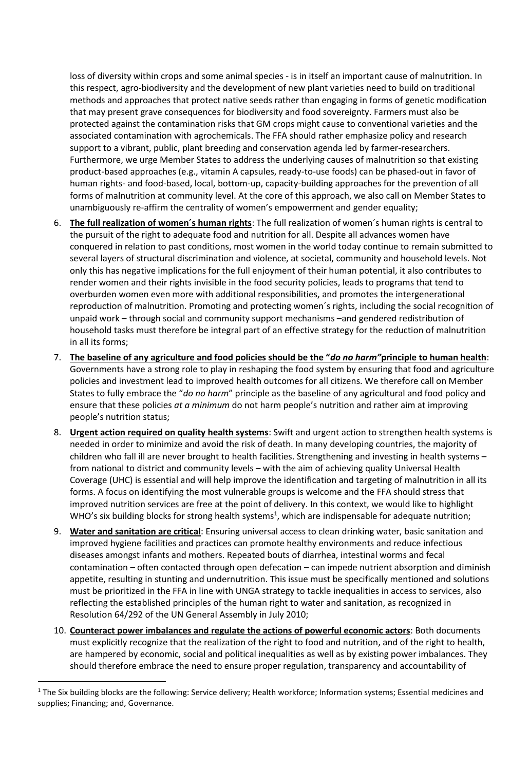loss of diversity within crops and some animal species - is in itself an important cause of malnutrition. In this respect, agro-biodiversity and the development of new plant varieties need to build on traditional methods and approaches that protect native seeds rather than engaging in forms of genetic modification that may present grave consequences for biodiversity and food sovereignty. Farmers must also be protected against the contamination risks that GM crops might cause to conventional varieties and the associated contamination with agrochemicals. The FFA should rather emphasize policy and research support to a vibrant, public, plant breeding and conservation agenda led by farmer-researchers. Furthermore, we urge Member States to address the underlying causes of malnutrition so that existing product-based approaches (e.g., vitamin A capsules, ready-to-use foods) can be phased-out in favor of human rights- and food-based, local, bottom-up, capacity-building approaches for the prevention of all forms of malnutrition at community level. At the core of this approach, we also call on Member States to unambiguously re-affirm the centrality of women's empowerment and gender equality;

- 6. **The full realization of women´s human rights**: The full realization of women´s human rights is central to the pursuit of the right to adequate food and nutrition for all. Despite all advances women have conquered in relation to past conditions, most women in the world today continue to remain submitted to several layers of structural discrimination and violence, at societal, community and household levels. Not only this has negative implications for the full enjoyment of their human potential, it also contributes to render women and their rights invisible in the food security policies, leads to programs that tend to overburden women even more with additional responsibilities, and promotes the intergenerational reproduction of malnutrition. Promoting and protecting women´s rights, including the social recognition of unpaid work – through social and community support mechanisms –and gendered redistribution of household tasks must therefore be integral part of an effective strategy for the reduction of malnutrition in all its forms;
- 7. **The baseline of any agriculture and food policies should be the "***do no harm"***principle to human health**: Governments have a strong role to play in reshaping the food system by ensuring that food and agriculture policies and investment lead to improved health outcomes for all citizens. We therefore call on Member States to fully embrace the "*do no harm*" principle as the baseline of any agricultural and food policy and ensure that these policies *at a minimum* do not harm people's nutrition and rather aim at improving people's nutrition status;
- 8. **Urgent action required on quality health systems**: Swift and urgent action to strengthen health systems is needed in order to minimize and avoid the risk of death. In many developing countries, the majority of children who fall ill are never brought to health facilities. Strengthening and investing in health systems – from national to district and community levels – with the aim of achieving quality Universal Health Coverage (UHC) is essential and will help improve the identification and targeting of malnutrition in all its forms. A focus on identifying the most vulnerable groups is welcome and the FFA should stress that improved nutrition services are free at the point of delivery. In this context, we would like to highlight WHO's six building blocks for strong health systems<sup>1</sup>, which are indispensable for adequate nutrition;
- 9. **Water and sanitation are critical**: Ensuring universal access to clean drinking water, basic sanitation and improved hygiene facilities and practices can promote healthy environments and reduce infectious diseases amongst infants and mothers. Repeated bouts of diarrhea, intestinal worms and fecal contamination – often contacted through open defecation – can impede nutrient absorption and diminish appetite, resulting in stunting and undernutrition. This issue must be specifically mentioned and solutions must be prioritized in the FFA in line with UNGA strategy to tackle inequalities in access to services, also reflecting the established principles of the human right to water and sanitation, as recognized in Resolution 64/292 of the UN General Assembly in July 2010;
- 10. **Counteract power imbalances and regulate the actions of powerful economic actors**: Both documents must explicitly recognize that the realization of the right to food and nutrition, and of the right to health, are hampered by economic, social and political inequalities as well as by existing power imbalances. They should therefore embrace the need to ensure proper regulation, transparency and accountability of

 $\overline{a}$ 

<sup>1</sup> The Six building blocks are the following: Service delivery; Health workforce; Information systems; Essential medicines and supplies; Financing; and, Governance.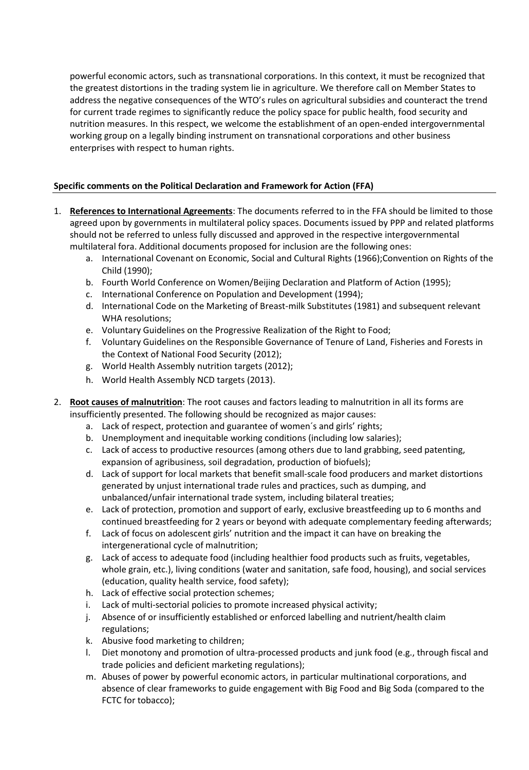powerful economic actors, such as transnational corporations. In this context, it must be recognized that the greatest distortions in the trading system lie in agriculture. We therefore call on Member States to address the negative consequences of the WTO's rules on agricultural subsidies and counteract the trend for current trade regimes to significantly reduce the policy space for public health, food security and nutrition measures. In this respect, we welcome the establishment of an open-ended intergovernmental working group on a legally binding instrument on transnational corporations and other business enterprises with respect to human rights.

## **Specific comments on the Political Declaration and Framework for Action (FFA)**

- 1. **References to International Agreements**: The documents referred to in the FFA should be limited to those agreed upon by governments in multilateral policy spaces. Documents issued by PPP and related platforms should not be referred to unless fully discussed and approved in the respective intergovernmental multilateral fora. Additional documents proposed for inclusion are the following ones:
	- a. International Covenant on Economic, Social and Cultural Rights (1966);Convention on Rights of the Child (1990);
	- b. Fourth World Conference on Women/Beijing Declaration and Platform of Action (1995);
	- c. International Conference on Population and Development (1994);
	- d. International Code on the Marketing of Breast-milk Substitutes (1981) and subsequent relevant WHA resolutions;
	- e. Voluntary Guidelines on the Progressive Realization of the Right to Food;
	- f. Voluntary Guidelines on the Responsible Governance of Tenure of Land, Fisheries and Forests in the Context of National Food Security (2012);
	- g. World Health Assembly nutrition targets (2012);
	- h. World Health Assembly NCD targets (2013).
- 2. **Root causes of malnutrition**: The root causes and factors leading to malnutrition in all its forms are insufficiently presented. The following should be recognized as major causes:
	- a. Lack of respect, protection and guarantee of women´s and girls' rights;
	- b. Unemployment and inequitable working conditions (including low salaries);
	- c. Lack of access to productive resources (among others due to land grabbing, seed patenting, expansion of agribusiness, soil degradation, production of biofuels);
	- d. Lack of support for local markets that benefit small-scale food producers and market distortions generated by unjust international trade rules and practices, such as dumping, and unbalanced/unfair international trade system, including bilateral treaties;
	- e. Lack of protection, promotion and support of early, exclusive breastfeeding up to 6 months and continued breastfeeding for 2 years or beyond with adequate complementary feeding afterwards;
	- f. Lack of focus on adolescent girls' nutrition and the impact it can have on breaking the intergenerational cycle of malnutrition;
	- g. Lack of access to adequate food (including healthier food products such as fruits, vegetables, whole grain, etc.), living conditions (water and sanitation, safe food, housing), and social services (education, quality health service, food safety);
	- h. Lack of effective social protection schemes;
	- i. Lack of multi-sectorial policies to promote increased physical activity;
	- j. Absence of or insufficiently established or enforced labelling and nutrient/health claim regulations;
	- k. Abusive food marketing to children;
	- l. Diet monotony and promotion of ultra-processed products and junk food (e.g., through fiscal and trade policies and deficient marketing regulations);
	- m. Abuses of power by powerful economic actors, in particular multinational corporations, and absence of clear frameworks to guide engagement with Big Food and Big Soda (compared to the FCTC for tobacco);